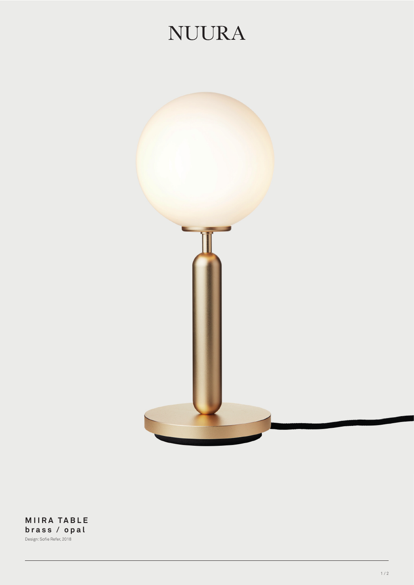## **NUURA**



**MIIRA TABLE brass / opal** Design: Sofie Refer, 2018